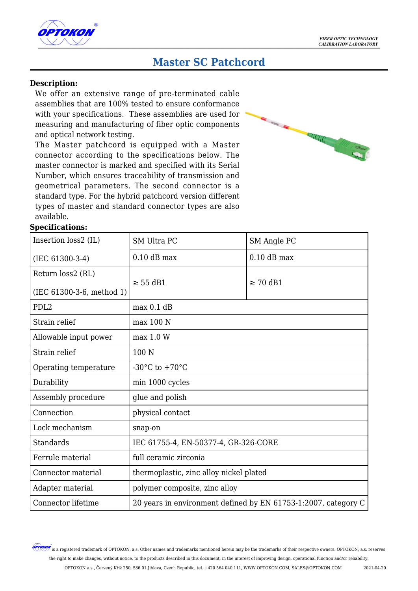

# **Master SC Patchcord**

#### **Description:**

We offer an extensive range of pre-terminated cable assemblies that are 100% tested to ensure conformance with your specifications. These assemblies are used for measuring and manufacturing of fiber optic components and optical network testing.

The Master patchcord is equipped with a Master connector according to the specifications below. The master connector is marked and specified with its Serial Number, which ensures traceability of transmission and geometrical parameters. The second connector is a standard type. For the hybrid patchcord version different types of master and standard connector types are also available.



# **Specifications:**

| Insertion loss2 (IL)        | <b>SM Ultra PC</b>                                             | SM Angle PC   |  |
|-----------------------------|----------------------------------------------------------------|---------------|--|
| $(IEC 61300-3-4)$           | $0.10$ dB max                                                  | $0.10$ dB max |  |
| Return loss2 (RL)           |                                                                |               |  |
| $(IEC 61300-3-6, method 1)$ | $\geq$ 55 dB1                                                  | $\geq 70$ dB1 |  |
| PDL <sub>2</sub>            | max 0.1 dB                                                     |               |  |
| Strain relief               | $max$ 100 N                                                    |               |  |
| Allowable input power       | max 1.0 W                                                      |               |  |
| Strain relief               | 100 N                                                          |               |  |
| Operating temperature       | -30 $^{\circ}$ C to +70 $^{\circ}$ C                           |               |  |
| Durability                  | min 1000 cycles                                                |               |  |
| Assembly procedure          | glue and polish                                                |               |  |
| Connection                  | physical contact                                               |               |  |
| Lock mechanism              | snap-on                                                        |               |  |
| <b>Standards</b>            | IEC 61755-4, EN-50377-4, GR-326-CORE                           |               |  |
| Ferrule material            | full ceramic zirconia                                          |               |  |
| Connector material          | thermoplastic, zinc alloy nickel plated                        |               |  |
| Adapter material            | polymer composite, zinc alloy                                  |               |  |
| Connector lifetime          | 20 years in environment defined by EN 61753-1:2007, category C |               |  |

**OPTOKON** is a registered trademark of OPTOKON, a.s. Other names and trademarks mentioned herein may be the trademarks of their respective owners. OPTOKON, a.s. reserves the right to make changes, without notice, to the products described in this document, in the interest of improving design, operational function and/or reliability.

OPTOKON a.s., Červený Kříž 250, 586 01 Jihlava, Czech Republic, tel. +420 564 040 111, WWW.OPTOKON.COM, SALES@OPTOKON.COM 2021-04-20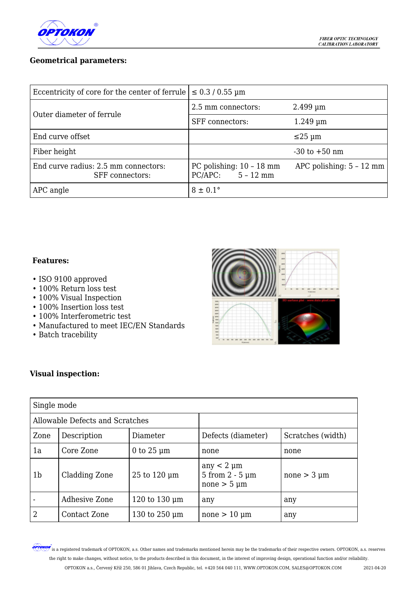

# **Geometrical parameters:**

| Eccentricity of core for the center of ferrule                 | $\leq 0.3 / 0.55$ µm                              |                            |  |
|----------------------------------------------------------------|---------------------------------------------------|----------------------------|--|
| Outer diameter of ferrule                                      | 2.5 mm connectors:                                | $2.499 \,\mathrm{\upmu m}$ |  |
|                                                                | <b>SFF</b> connectors:                            | $1.249 \,\mathrm{\upmu m}$ |  |
| End curve offset                                               |                                                   | $\leq$ 25 µm               |  |
| Fiber height                                                   |                                                   | $-30$ to $+50$ nm          |  |
| End curve radius: 2.5 mm connectors:<br><b>SFF</b> connectors: | PC polishing: $10 - 18$ mm<br>$PC/APC: 5 - 12$ mm | APC polishing: $5 - 12$ mm |  |
| APC angle                                                      | $8 \pm 0.1$ °                                     |                            |  |

#### **Features:**

- ISO 9100 approved
- 100% Return loss test
- 100% Visual Inspection
- 100% Insertion loss test
- 100% Interferometric test
- Manufactured to meet IEC/EN Standards
- Batch tracebility



# **Visual inspection:**

| Single mode                     |                      |                    |                                                                   |                   |  |  |
|---------------------------------|----------------------|--------------------|-------------------------------------------------------------------|-------------------|--|--|
| Allowable Defects and Scratches |                      |                    |                                                                   |                   |  |  |
| Zone                            | Description          | Diameter           | Defects (diameter)                                                | Scratches (width) |  |  |
| 1a                              | Core Zone            | 0 to $25 \mu m$    | none                                                              | none              |  |  |
| 1 <sub>b</sub>                  | Cladding Zone        | 25 to 120 µm       | any $<$ 2 $\mu$ m<br>$5$ from $2 - 5$ $\mu$ m<br>none $> 5 \mu m$ | $none > 3 \mu m$  |  |  |
|                                 | <b>Adhesive Zone</b> | 120 to 130 $\mu$ m | any                                                               | any               |  |  |
| $\overline{2}$                  | <b>Contact Zone</b>  | 130 to $250 \mu m$ | $none > 10 \mu m$                                                 | any               |  |  |

**OPTOKON** is a registered trademark of OPTOKON, a.s. Other names and trademarks mentioned herein may be the trademarks of their respective owners. OPTOKON, a.s. reserves the right to make changes, without notice, to the products described in this document, in the interest of improving design, operational function and/or reliability. OPTOKON a.s., Červený Kříž 250, 586 01 Jihlava, Czech Republic, tel. +420 564 040 111, WWW.OPTOKON.COM, SALES@OPTOKON.COM 2021-04-20